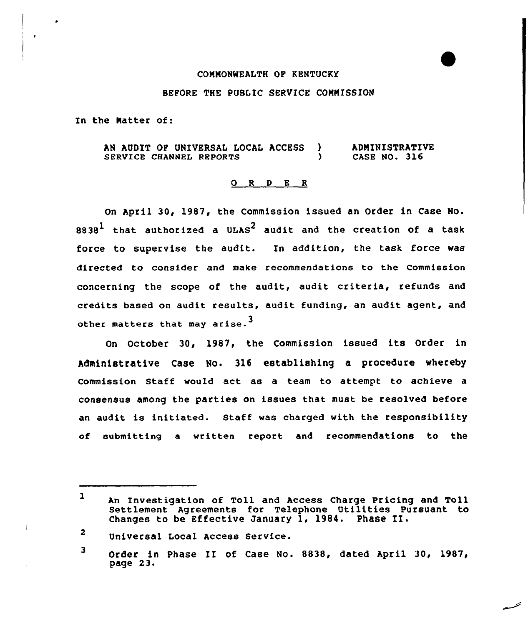#### COMMONWEALTH OF KENTUCKY

### BEFORE THE PUBLIC SERVICE COMNISSION

In the Natter of:

AN AUDIT OF UNIVERSAL LOCAL ACCESS )<br>SERVICE CHANNEL REPORTS SERVICE CHANNEL REPORTS **ADMINISTRATIVE** CASE NO. 316

# 0 <sup>R</sup> <sup>D</sup> E <sup>R</sup>

On April 30, 1987, the Commission issued an Order in Case No.  $8838<sup>1</sup>$  that authorized a ULAS<sup>2</sup> audit and the creation of a task force to supervise the audit. In addition, the task force was directed to consider and make recommendations to the Commission concerning the scope of the audit, audit criteria, refunds and credits based on audit results, audit funding, an audit agent, and other matters that may arise.<sup>3</sup>

On October 30, 1987, the Commission issued its Order in Administrative Case No. 316 establishing a procedure whereby Commission Staff would act as a team to attempt to achieve a consensus among the parties on issues that must be resolved before an audit is initiated. Staff was charged with the responsibility of submitting a written report and recommendations to the

 $\overline{2}$ Universal Local Access Service.

<sup>3</sup> Order in Phase II of Case No. 8838, dated April 30, 1987, page 23.

<sup>1</sup> An Investigation of Toll and Access Charge Pricing and Toll Settlement Agreements for Telephone Utilities Pursuant to Changes to be Effective January 1, 1984. Phase II.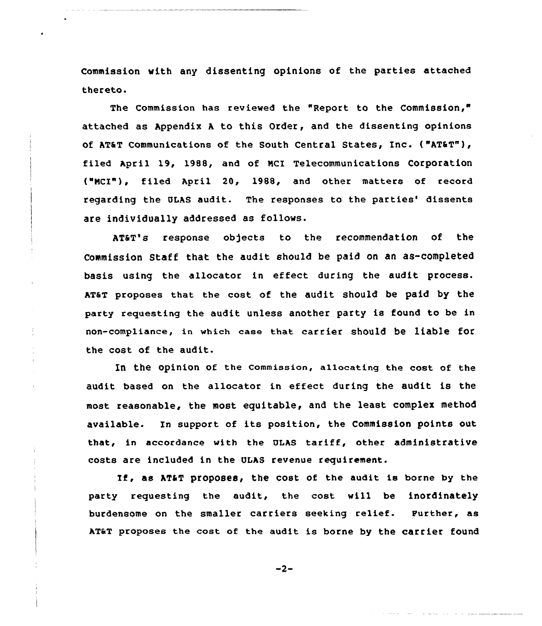Commission with any dissenting opinions of the parties attached thereto.

The Commission has reviewed the "Report to the Commission," attached as Appendix <sup>A</sup> to this Order, and the dissenting opinions of AT&T Communications of the South Central States, Inc. ("AT&T"), filed April 19, 1988, and of Ncl Telecommunications Corporation ("NCI"), filed April 20, 1988, and other matters of record regarding the OLAS audit. The responses to the parties' dissents are individually addressed as follows.

AT&T's response ob)ects to the recommendation of the Commission Staff that the audit should be paid on an as-completed basis using the allocator in effect during the audit process. AT&T proposes that the cost of the audit should be paid by the party requesting the audit unless another party is found to be in non-compliance, in which case that carrier should be liable for the cost of the audit.

In the opinion of the Commission, allocating the cost of the audit based on the allocator in effect during the audit is the most reasonable, the most equitable, and the least complex method available. In support of its position, the Commission points out that, in accordance with the ULAS tariff, other administrative costs are included in the ULAS revenue requirement.

If, as AT&T proposes, the coat of the audit is borne by the party requesting the audit, the cost will be inordinately burdensome on the smaller carriers seeking relief. Further, as AT&T proposes the cost of the audit is borne by the carrier found

 $-2-$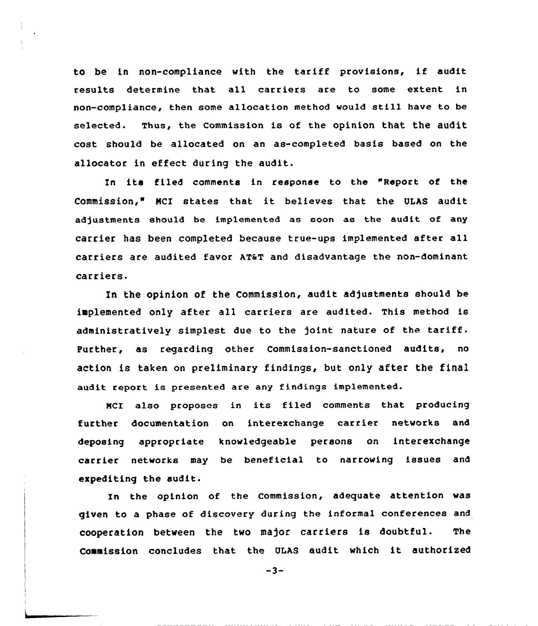to be in non-compliance with the tariff provisions, if audit results determine that all carriers are to some extent in non-compliance, then some allocation method would still have to be selected. Thus, the commission is of the opinion that the audit cost should be allocated on an as-completed basis based on the allocator in effect during the audit.

In its filed comments in response to the "Report of the Commission," HCI states that it believes that the ULAS audit adjustments should be implemented as soon as the audit of any carrier has been completed because true-ups implemented after all carriers are audited favor AT&T and disadvantage the non-dominant carriers.

In the opinion of the Commission, audit adjustments should be implemented only after all carriers are audited. This method is administratively simplest due to the )oint nature of the tariff. Further, as regarding other Commission-sanctioned audits, no action is taken on preliminary findings, but only after the final audit report is presented are any findings implemented.

NCI also proposes in its filed comments that producing further documentation on interexchange carrier networks and deposing appropriate knowledgeable persons on interexchange carrier networks may be beneficial to narrowing issues and expediting the audit.

In the opinion of the Commission, adequate attention was given to a phase of discovery during the informal conferences and cooperation between the two major carriers is doubtful. The Commission concludes that the ULAS audit which it authorized

 $-3-$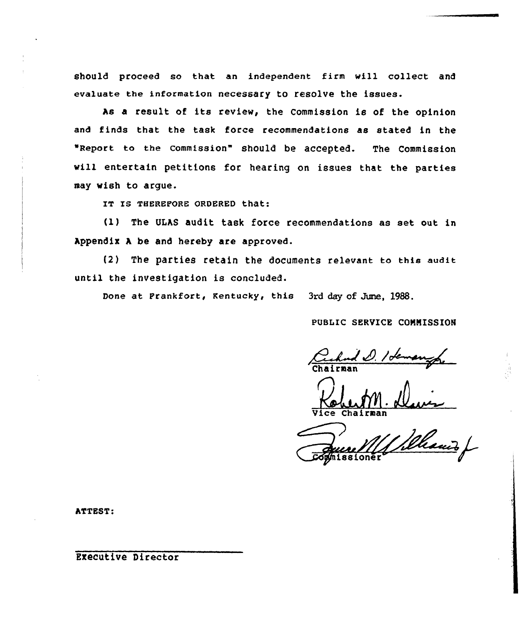should proceed so that an independent firm will collect and evaluate the information necessary to resolve the issues.

hs <sup>a</sup> result of its review, the Commission is of the opinion and finds that the task force recommendations as stated in the "Report to the commission" should be accepted. The Commission will entertain petitions for hearing on issues that the parties may wish to argue.

IT IS THEREFORE ORDERED that:

(l) The ULAS audit task force recommendations as set out in Appendix A be and hereby are approved.

(2) The parties retain the documents relevant to this audit until the investigation is concluded.

Done at Frankfort, Kentucky, this 3rd day of June, 1988.

PUBLIC SERVICE COMMISSION

Vice Chairma

**ATTEST:** 

Executive Director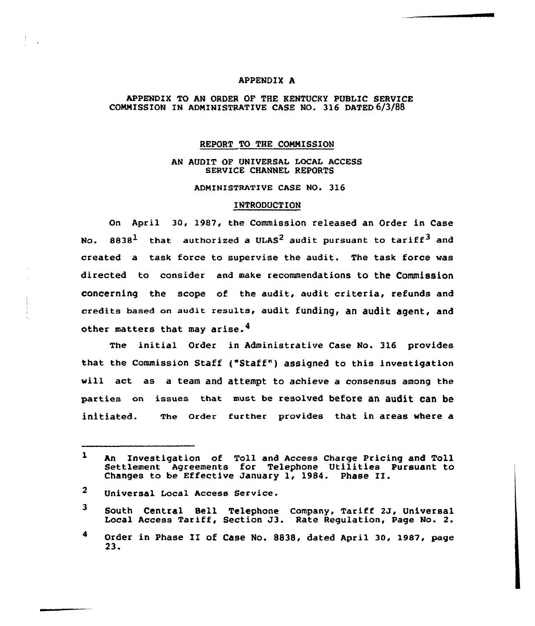## APPENDIX A

### APPENDIX TO AN ORDER OF THE KENTUCKY PUBLIC SERVICE COMMISSION IN ADMINISTRATIVE CASE NO. 316 DATED 6/3/88

#### REPORT TO THE COMMISSION

# RN AUDIT OF UNIVERSAL LOCAL ACCESS SERVICE CHANNEL REPORTS

ADMINISTRATIVE CASE NO. 316

#### INTRODUCTION

On April 30, 1987, the Commission released an Order in Case No.  $8838<sup>1</sup>$  that authorized a ULAS<sup>2</sup> audit pursuant to tariff<sup>3</sup> and created a task force to supervise the audit. The task force was directed to consider and make recommendations to the Commission concerning the scope of the audit, audit criteria, refunds and credits based on audit results, audit funding, an audit agent, and other matters that may arise.<sup>4</sup>

The initial Order in Administrative Case No. 3l6 provides that the Commission Staff ("Staff") assigned to this investigation vill act as a team and attempt to achieve a consensus among the parties on issues that must be resolved before an audit can be initiated. The Order further provides that in areas where a

- $\overline{2}$ Universal Local Access Service.
- <sup>3</sup> South Central Bell Telephone Company, Tariff 2J, Universal Local Access Tariff, Section J3. Rate Regulation, Page No. 2.
- 4 Order in Phase II of Case No. 8838, dated April 30, 1987, page 23.

 $\mathbf{1}$ An Investigation of Toll and Access Charge Pricing and Toll Settlement Agreements for Telephone Utilities Pursuant to Changes to be Effective January 1, 1984. Phase II.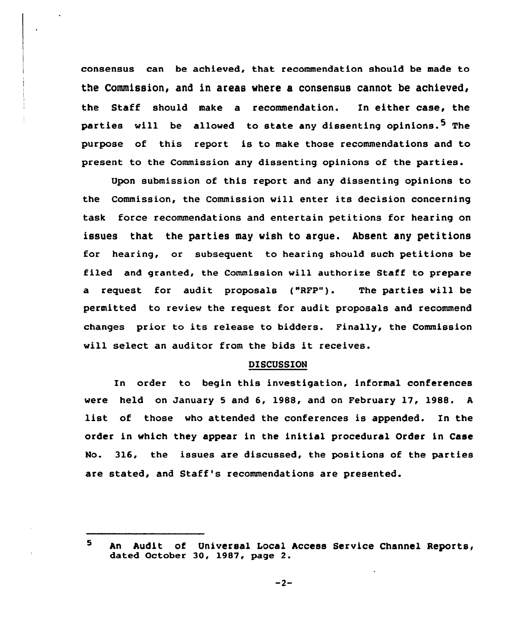consensus can be achieved, that recommendation should be made to the Commission, and in areas where a consensus cannot be achieved, the Staff should make a recommendation. In either case, the parties will be allowed to state any dissenting opinions.<sup>5</sup> The purpose of this report is to make those recommendations and to present to the Commission any dissenting opinions of the parties.

Upon submission of this report and any dissenting opinions to the Commission, the Commission will enter its decision concerning task force recommendations and entertain petitions for hearing on issues that the parties may wish to argue. Absent any petitions for hearing, or subsequent to hearing should such petitions be filed and granted, the Commission will authorise Staff to prepare a request for audit proposals ("RFP"). The parties vill be permitted to review the request for audit proposals and recommend changes prior to its release to bidders. Finally, the Commission will select an auditor from the bids it receives.

#### DISCUSSION

In order to begin this investigation, informal conferences were held on January <sup>5</sup> and 6. 1988, and on February 17, 1988. <sup>A</sup> list of those who attended the conferences is appended. In the order in which they appear in the initial procedural Order in Case No. 316, the issues are discussed, the positions of the parties are stated, and Staff's recommendations are presented.

 $-2-$ 

<sup>5</sup> An Audit of Universal Local Access Service Channel Reports, dated October 30, 1987, page 2.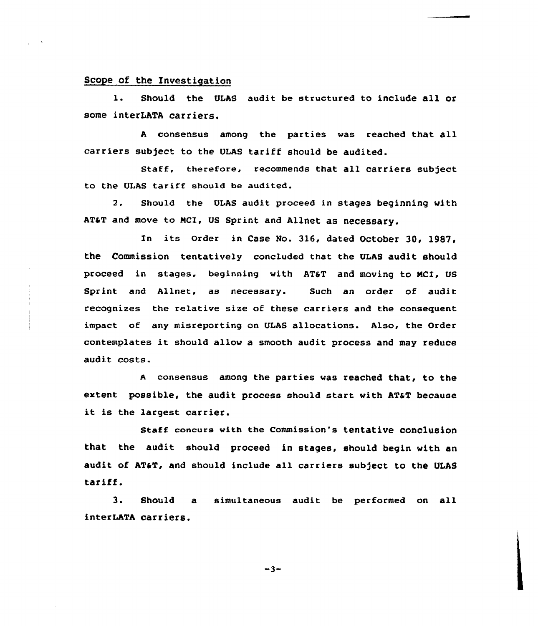## Scope of the Investigation

l. Should the ULAS audit be structured to include all or some interLATA carriers.

<sup>A</sup> consensus among the parties was reached that all carriers subject to the ULAS tariff should be audited.

Staff, therefore, recommends that all carriers subject to the ULAS tariff should be audited.

2. Should the ULAS audit proceed in stages beginning with AT&T and move to MCI, US Sprint and Allnet as necessary.

In its Order in Case No. 316, dated October 30, 1987, the Commission tentatively concluded that the ULAs audit should proceed in stages, beginning with AT&T and moving to MCI. US Sprint and Allnet, as necessary. Such an order of audit recognizes the relative size of these carriers and the consequent impact of any misreporting on ULAS allocations. Also, the Order contemplates it should allow <sup>a</sup> smooth audit process and may reduce audit costs.

A consensus among the parties was reached that, to the extent possible, the audit process should start with ATaT because it is the largest carrier.

staff concurs with the commission's tentative conclusion that the audit should proceed in stages, should begin with an audit of AT&T, and should include all carriers subject to the ULAS tariff.

3. Should a simultaneous audit be performed on all interLATA carriers.

 $-3-$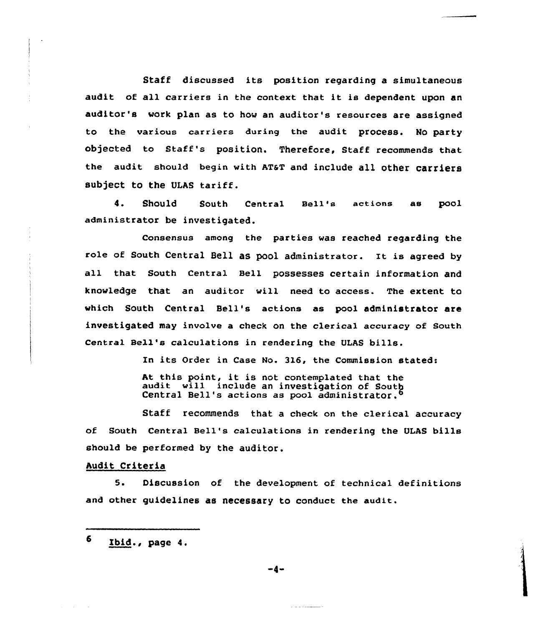Staff discussed its position regarding <sup>a</sup> simultaneous audit of all carriers in the context that it is dependent upon an auditor's work plan as to how an auditor's resources are assigned to the various carriers during the audit process. No party objected to Staff's position. Therefore, Staff recommends that the audit should begin with AT&T and include all other carriers subject to the ULAS tariff.

4. Should South Central Bell'a actions as pool administrator be investigated.

Consensus among the parties was reached regarding the role of South Central Bell as pool administrator. It is agreed by all that South Central Bell possesses certain information and knowledge that an auditor will need to access. The extent to which South Central Bell's actions as pool administrator are investigated may involve a check on the clerical accuracy of South Central Bell's calculations in rendering the QLAS bills.

> In its Order in Case No. 316, the Commission stated: At this point, it is not contemplated that the audit will include an investigation of South Central Bell's actions as pool administrator.<sup>6</sup>

Staff recommends that a check on the clerical accuracy of South Central Bell's calculations in rendering the VLAS bills should be performed by the auditor.

#### Audit Criteria

5. Discussion of the development of technical definitions and other guidelines as necessary to conduct the audit.

6 Ibid., page 4.

-4-

**State Comments**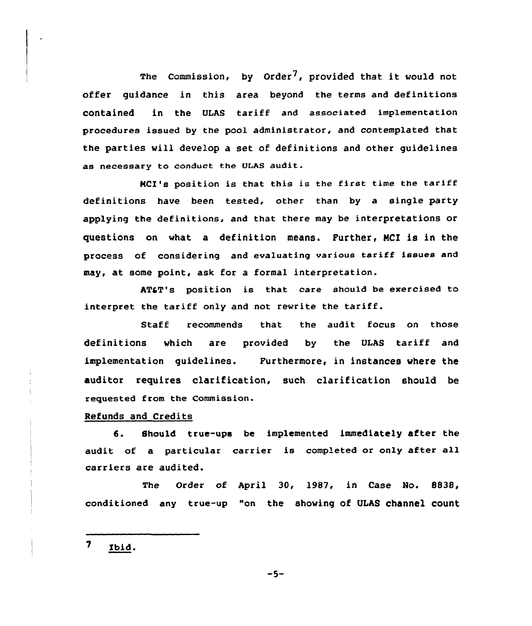The Commission, by Order<sup>7</sup>, provided that it would not offer guidance in this area beyond the terms and definitions contained in the ULAs tariff and associated implementation procedures issued by the pool administrator, and contemplated that the parties vill develop a set of definitions and other guidelines as necessary to conduct the DIAS audit.

NCI's position is that this is the first time the tariff definitions have been tested, other than by a single party applying the definitions, and that there may be interpretations or questions on vhat a definition means. Further, MCl is in the process of considering and evaluating various tariff issues and may, at some point, ask for a formal interpretation.

AT&T's position is that care should be exercised to interpret the tariff only and not revrite the tariff.

Staff recommends that the audit focus on those definitions vhich are provided by the VLAS tariff and implementation guidelines. Furthermore, in instances vhere the auditor requires clarification, such clarification should be requested from the Commission.

Refunds and Credits

6. Should true-ups be implemented immediately after the audit of a particular carrier is completed or only after all carriers are audited.

The Order of April 30, l987, in Case No. 8838, conditioned any true-up "on the shoving of ULAS channel count

 $\overline{\mathbf{z}}$ Ibid.

 $-5-$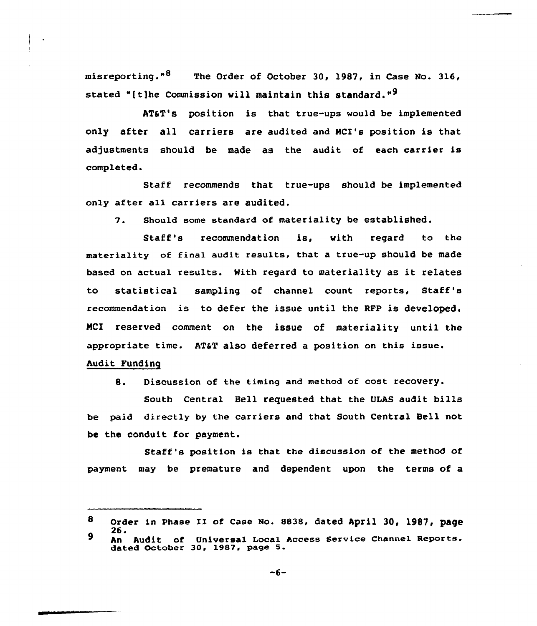misreporting."<sup>8</sup> The Order of October 30, 1987, in Case No. 316, stated "(t)he Commission will maintain this standard."<sup>9</sup>

AT&T's position is that true-ups would be implemented only after all carriers are audited and NCI's position is that adjustments should be made as the audit of each carrier is completed.

Staff recommends that true-ups should be implemented only after all carriers are audited.

7. Should some standard of materiality be established.

Staff's recommendation is, with regard to the materiality of final audit results, that a true-up should be made based on actual results. Mith regard to materiality as it relates to statistical sampling of channel count reports, Staff's recommendation is to defer the issue until the RFP is developed. NCI reserved comment on the issue of materiality until the appropriate time. AT&T also deferred a position on this issue. Audit Funding

8. Discussion of the timing and method of cost recovery.

South Central Bell requested that the ULAS audit bills be paid directly by the carriers and that South Central Bell not be the conduit for payment.

Staff's position is that the discussion of the method of payment may be premature and dependent upon the terms of a

<sup>8</sup> Order in Phase II of Case No. 8838, dated April 30, 1987, page<br>26.  $\mathbf{9}$ 

<sup>-</sup>o.<br>An Audit of Universal Local Access Service Channel Reports<br>dated October 30, 1987, page 5.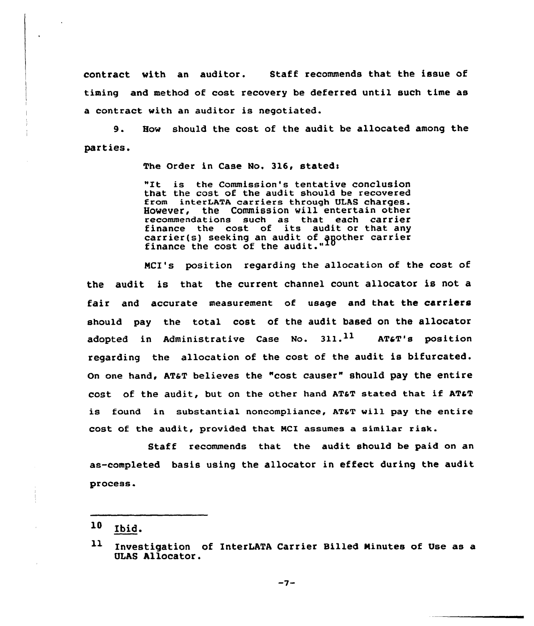contract with an auditor. Staff recommends that the issue of timing and method af cost recovery be deferred until such time as a contract with an auditor is negotiated.

9. How should the cost of the audit be allocated among the parties.

The Order in Case No. 316, stated:

"Xt is the Commission's tentative conclusion that the cost of the audit should be recovered from interLATA carriers through ULAS charges. However, the Commission will entertain other recommendations such as that each carrier<br>finance the cost of its audit or that any finance the cost of its audit or that any carrier{s) seeking an audit of gsother carrier finance the cost of the audit."

NCI's position regarding the allocation of the cost af the audit is that the current channel count allocator is not a fair and accurate measurement of usage and that the carriers should pay the total cost of the audit based on the allocator adopted in Administrative Case No.  $311.^{11}$  AT&T's position regarding the allocation of the cost of the audit is bifurcated. On one hand, AT&T believes the "cost causer" should pay the entire cost of the audit, but on the other hand AT&T stated that if AT&T is found in substantial noncompliance, AT&T will pay the entire cost of the audit, provided that NCI assumes a similar risk.

Staff recommends that the audit should be paid on an as-completed basis using the allocator in effect during the audit process.

 $-7-$ 

 $10$  Ibid.

 $11$ Investigation of InterLATA Carrier Billed Minutes of Use as a OLAS Allocator.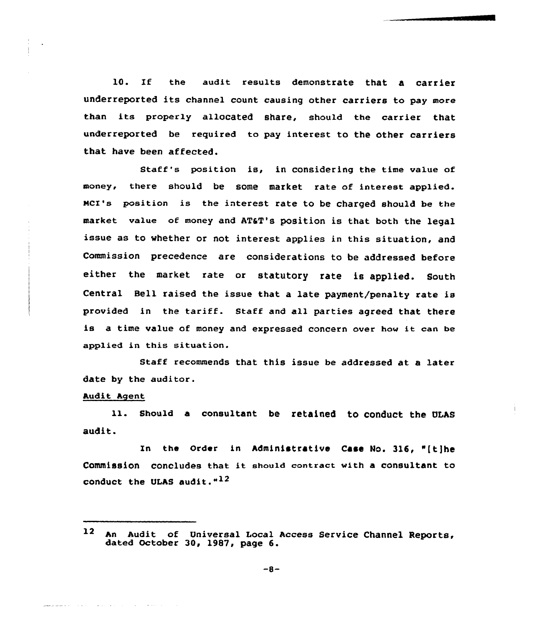10. If the audit results demonstrate that a carrier underreported its channel count causing other carriers to pay more than its properly allocated share, should the carrier that underreported be required to pay interest to the other carriers that have been affected.

Staff's position is, in considering the time value of money, there should be some market rate of interest applied. MCI's position is the interest rate to be charged should be the market value of money and AT&T's position is that both the legal issue as to whether or not interest applies in this situation, and Commission precedence are considerations to be addressed before either the market rate or statutory rate is applied. South Central Bell raised the issue that a late payment/penalty rate is provided in the tariff. Staff and all parties agreed that there is a time value of money and expressed concern over hov it can be applied in this situation.

Staff recommends that this issue be addressed at a later date by the auditor.

# Audit Agent

should a consultant be retained to conduct the ULAs 11. audit.

zn the Order in Administrative Case No. 316, "ft)he Commission concludes that it should contract with <sup>a</sup> consultant to conduct the ULAS audit. $1^2$ 

 $\mathbf{12}$ An Audit of Universal Local Access Service Channel Reports, dated October 30, 1987, page 6.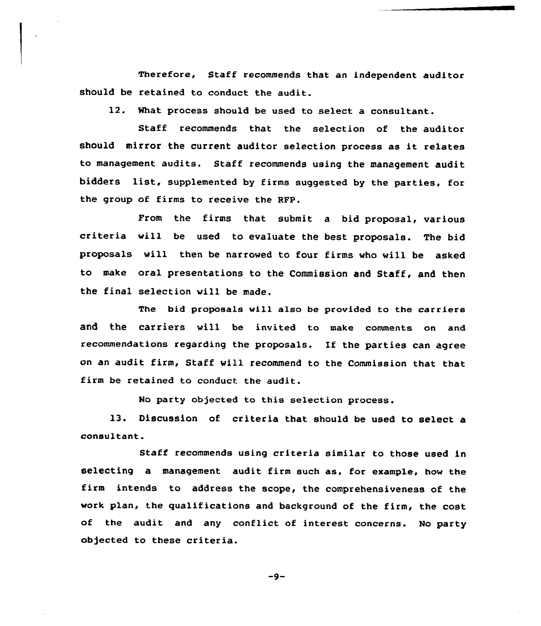Therefore, Staff recommends that an independent auditor should be retained to conduct the audit.

12. What process should be used to select a consultant.

Staff recommends that the selection of the auditor should mirror the current auditor selection process as it relates to management audits. Staff recommends using the management audit bidders list, supplemented by firms suggested by the parties, for the group of firms to receive the RFP.

From the firms that submit a bid proposal, various criteria vill be used to evaluate the best proposals. The bid proposals vill then be narrowed to four firms who will be asked to make oral presentations to the Commission and Staff, and then the final selection will be made.

The bid proposals vill also be provided to the carriers and the carriers vill be invited to make comments on and recommendations regarding the proposals. If the parties can agree on an audit firm, Staff will recommend to the Commission that that firm be retained to conduct the audit.

No party objected to this selection process.

13. Discussion of criteria that should be used to select a consultant.

Staff recommends using criteria similar to those used in selecting a management audit firm such as, for example, hov the firm intends to address the scope, the comprehensiveness of the work plan, the qualifications and background of the firm, the cost of the audit and any conflict of interest concerns. No party objected to these criteria.

 $-9-$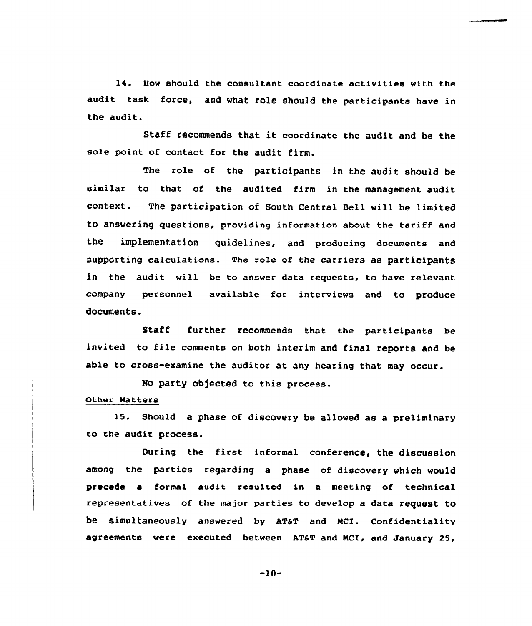14. Bov should the consultant coordinate activities with the audit task force, and what role should the participants have in the audit.

Staff recommends that it coordinate the audit and be the sole point of contact for the audit firm.

The role of the participants in the audit should be similar to that of the audited firm in the management audit context. The participation of South Central Bell vill be limited to ansvering questions, providing information about the tariff and the implementation guidelines, and producing documents and supporting calculations. The role of the carriers as participants in the audit vill be to answer data requests, to have relevant company personnel available for interviews and to produce documents.

Staff further recommends that the participants be invited to file comments on both interim and final reports and be able to cross-examine the auditor at any hearing that may occur.

No party objected to this process.

# Other Matters

15. Should a phase of discovery be allowed as a preliminary to the audit process.

During the first informal conference, the discussion among the parties regarding a phase of discovery vhich vould precede a formal audit resulted in a meeting of technical representatives of the major parties to develop a data request to be simultaneously answered by AT&T and MCI. Confidentiality agreements were executed between AT&T and MCI, and January 25,

 $-10-$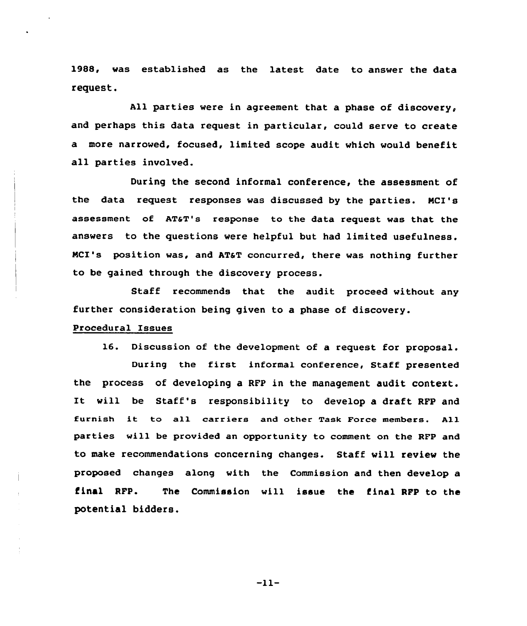1988, was established as the latest date to answer the data request.

All parties were in agreement that a phase of discovery, and perhaps this data request in particular, could serve to create a more narrowed, focused, limited scope audit which would benefit all parties involved.

During the second informal conference, the assessment of the data request responses was discussed by the parties. NCI's assessment of AT&T's response to the data request was that the answers to the questions vere helpful but had limited usefulness. MCI's position was, and AT&T concurred, there was nothing further to be gained through the discovery process.

Staff recommends that the audit proceed without any further consideration being given to a phase of discovery.

#### Procedural Issues

16. Discussion of the development of a request for proposal.

During the first informal conference, Staff presented the process of developing a RFP in the management audit context. It will be Staff's responsibility to develop <sup>a</sup> draft RFP and furnish it to all carriers and other Task Force members. All parties vill be provided an opportunity to comment on the RFP and to make recommendations concerning changes. Staff will review the proposed changes along with the Commission and then develop a final RFP. The Commission will issue the final RFP to the potential bidders.

 $-11-$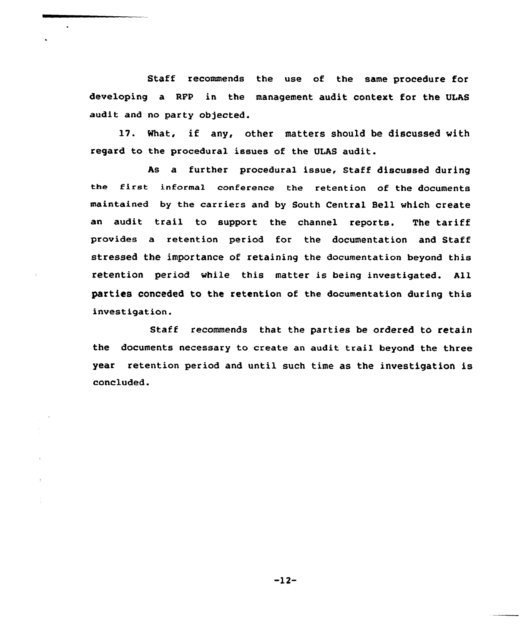Staff recommends the use of the same procedure for developing a RFP in the management audit context for the ULAS audit and no party objected.

17. What, if any, other matters should be discussed with regard to the procedural issues of the ULAS audit.

As a further procedural issue, Staff discussed during the first inEorma1 conference the retention of the documents maintained by the carriers and by South Central Bell which create an audit trail to support the channel reports. The tariff provides a retention period for the documentation and Staff stressed the importance of retaining the documentation beyond this retention period while this matter is being investigated. All parties conceded to the retention of the documentation during this investigation.

Staff recommends that the parties be ordered to retain the documents necessary to create an audit trail beyond the three year retention period and until such time as the investigation is concluded.

-12-